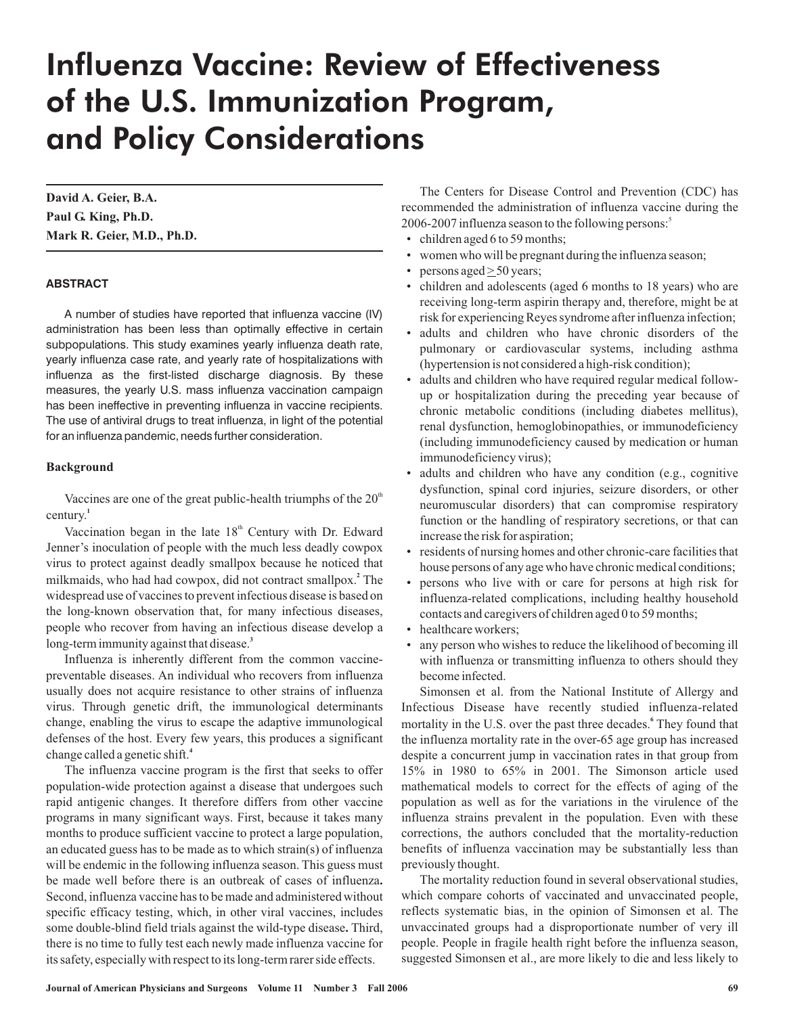# Influenza Vaccine: Review of Effectiveness of the U.S. Immunization Program, and Policy Considerations

**David A. Geier, B.A. Paul G. King, Ph.D. Mark R. Geier, M.D., Ph.D.**

#### **ABSTRACT**

A number of studies have reported that influenza vaccine (IV) administration has been less than optimally effective in certain subpopulations. This study examines yearly influenza death rate, yearly influenza case rate, and yearly rate of hospitalizations with influenza as the first-listed discharge diagnosis. By these measures, the yearly U.S. mass influenza vaccination campaign has been ineffective in preventing influenza in vaccine recipients. The use of antiviral drugs to treat influenza, in light of the potential for an influenza pandemic, needs further consideration.

#### **Background**

Vaccines are one of the great public-health triumphs of the  $20<sup>th</sup>$ century. **1**

Vaccination began in the late  $18<sup>th</sup>$  Century with Dr. Edward Jenner's inoculation of people with the much less deadly cowpox virus to protect against deadly smallpox because he noticed that milkmaids, who had had cowpox, did not contract smallpox.<sup>2</sup> The widespread use of vaccines to prevent infectious disease is based on the long-known observation that, for many infectious diseases, people who recover from having an infectious disease develop a long-term immunity against that disease. **3**

Influenza is inherently different from the common vaccinepreventable diseases. An individual who recovers from influenza usually does not acquire resistance to other strains of influenza virus. Through genetic drift, the immunological determinants change, enabling the virus to escape the adaptive immunological defenses of the host. Every few years, this produces a significant change called a genetic shift. **4**

**.** be made well before there is an outbreak of cases of influenza some double-blind field trials against the wild-type disease. Third, The influenza vaccine program is the first that seeks to offer population-wide protection against a disease that undergoes such rapid antigenic changes. It therefore differs from other vaccine programs in many significant ways. First, because it takes many months to produce sufficient vaccine to protect a large population, an educated guess has to be made as to which strain(s) of influenza will be endemic in the following influenza season. This guess must Second, influenza vaccine has to be made and administered without specific efficacy testing, which, in other viral vaccines, includes there is no time to fully test each newly made influenza vaccine for its safety, especially with respect to its long-term rarer side effects.

The Centers for Disease Control and Prevention (CDC) has recommended the administration of influenza vaccine during the 2006-2007 influenza season to the following persons: 5

- children aged 6 to 59 months;
- women who will be pregnant during the influenza season;
- persons aged  $\geq$  50 years;
- children and adolescents (aged 6 months to 18 years) who are receiving long-term aspirin therapy and, therefore, might be at risk for experiencing Reyes syndrome after influenza infection;
- adults and children who have chronic disorders of the pulmonary or cardiovascular systems, including asthma (hypertension is not considered a high-risk condition);
- adults and children who have required regular medical followup or hospitalization during the preceding year because of chronic metabolic conditions (including diabetes mellitus), renal dysfunction, hemoglobinopathies, or immunodeficiency (including immunodeficiency caused by medication or human immunodeficiency virus);
- adults and children who have any condition (e.g., cognitive dysfunction, spinal cord injuries, seizure disorders, or other neuromuscular disorders) that can compromise respiratory function or the handling of respiratory secretions, or that can increase the risk for aspiration;
- residents of nursing homes and other chronic-care facilities that house persons of any age who have chronic medical conditions;
- persons who live with or care for persons at high risk for influenza-related complications, including healthy household contacts and caregivers of children aged 0 to 59 months;
- healthcare workers:
- any person who wishes to reduce the likelihood of becoming ill with influenza or transmitting influenza to others should they become infected.

Simonsen et al. from the National Institute of Allergy and Infectious Disease have recently studied influenza-related mortality in the U.S. over the past three decades.<sup>6</sup> They found that the influenza mortality rate in the over-65 age group has increased despite a concurrent jump in vaccination rates in that group from 15% in 1980 to 65% in 2001. The Simonson article used mathematical models to correct for the effects of aging of the population as well as for the variations in the virulence of the influenza strains prevalent in the population. Even with these corrections, the authors concluded that the mortality-reduction benefits of influenza vaccination may be substantially less than previously thought.

The mortality reduction found in several observational studies, which compare cohorts of vaccinated and unvaccinated people, reflects systematic bias, in the opinion of Simonsen et al. The unvaccinated groups had a disproportionate number of very ill people. People in fragile health right before the influenza season, suggested Simonsen et al., are more likely to die and less likely to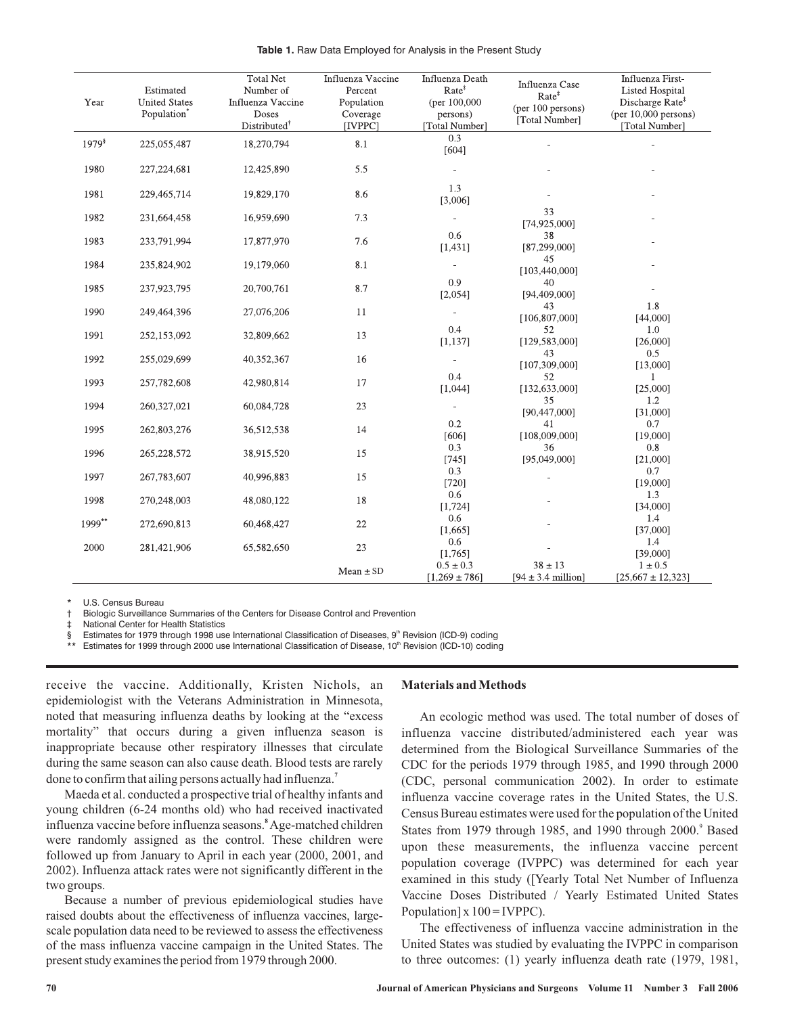| Year        | Estimated<br><b>United States</b><br>Population <sup>®</sup> | <b>Total Net</b><br>Number of<br>Influenza Vaccine<br>Doses<br>Distributed <sup>†</sup> | Influenza Vaccine<br>Percent<br>Population<br>Coverage<br>[IVPPC] | Influenza Death<br>Rate <sup>‡</sup><br>(per 100,000)<br>persons)<br>[Total Number] | Influenza Case<br>Rate <sup>‡</sup><br>(per 100 persons)<br>[Total Number] | Influenza First-<br><b>Listed Hospital</b><br>Discharge Rate <sup>#</sup><br>(per $10,000$ persons)<br>[Total Number] |
|-------------|--------------------------------------------------------------|-----------------------------------------------------------------------------------------|-------------------------------------------------------------------|-------------------------------------------------------------------------------------|----------------------------------------------------------------------------|-----------------------------------------------------------------------------------------------------------------------|
| $1979^{\$}$ | 225,055,487                                                  | 18,270,794                                                                              | 8.1                                                               | 0.3<br>[604]                                                                        |                                                                            |                                                                                                                       |
| 1980        | 227, 224, 681                                                | 12,425,890                                                                              | 5.5                                                               |                                                                                     |                                                                            |                                                                                                                       |
| 1981        | 229,465,714                                                  | 19,829,170                                                                              | 8.6                                                               | 1.3<br>[3,006]                                                                      |                                                                            |                                                                                                                       |
| 1982        | 231,664,458                                                  | 16,959,690                                                                              | 7.3                                                               |                                                                                     | 33<br>[74,925,000]                                                         |                                                                                                                       |
| 1983        | 233,791,994                                                  | 17,877,970                                                                              | 7.6                                                               | 0.6<br>[1,431]                                                                      | 38<br>[87,299,000]                                                         |                                                                                                                       |
| 1984        | 235,824,902                                                  | 19,179,060                                                                              | 8.1                                                               |                                                                                     | 45<br>[103,440,000]                                                        |                                                                                                                       |
| 1985        | 237,923,795                                                  | 20,700,761                                                                              | 8.7                                                               | 0.9<br>[2,054]                                                                      | 40<br>[94,409,000]                                                         |                                                                                                                       |
| 1990        | 249,464,396                                                  | 27,076,206                                                                              | 11                                                                |                                                                                     | 43<br>[106, 807, 000]                                                      | 1.8<br>[44,000]                                                                                                       |
| 1991        | 252,153,092                                                  | 32,809,662                                                                              | 13                                                                | 0.4<br>[1, 137]                                                                     | 52<br>[129, 583, 000]                                                      | 1.0<br>[26,000]                                                                                                       |
| 1992        | 255,029,699                                                  | 40,352,367                                                                              | 16                                                                |                                                                                     | 43<br>[107, 309, 000]                                                      | 0.5<br>[13,000]                                                                                                       |
| 1993        | 257,782,608                                                  | 42,980,814                                                                              | 17                                                                | 0.4<br>[1,044]                                                                      | 52<br>[132, 633, 000]                                                      | $\mathbf{1}$<br>[25,000]                                                                                              |
| 1994        | 260,327,021                                                  | 60,084,728                                                                              | $23\,$                                                            | $\blacksquare$                                                                      | 35<br>[90,447,000]                                                         | 1.2<br>[31,000]                                                                                                       |
| 1995        | 262,803,276                                                  | 36,512,538                                                                              | 14                                                                | 0.2<br>[606]                                                                        | 41<br>[108,009,000]                                                        | 0.7<br>[19,000]                                                                                                       |
| 1996        | 265,228,572                                                  | 38,915,520                                                                              | 15                                                                | 0.3<br>[745]                                                                        | 36<br>[95,049,000]                                                         | 0.8<br>[21,000]                                                                                                       |
| 1997        | 267,783,607                                                  | 40,996,883                                                                              | 15                                                                | 0.3<br>[720]                                                                        |                                                                            | 0.7<br>[19,000]                                                                                                       |
| 1998        | 270,248,003                                                  | 48,080,122                                                                              | 18                                                                | 0.6<br>[1, 724]                                                                     |                                                                            | 1.3<br>[34,000]                                                                                                       |
| 1999**      | 272,690,813                                                  | 60,468,427                                                                              | 22                                                                | 0.6<br>[1,665]                                                                      |                                                                            | 1.4<br>[37,000]                                                                                                       |
| 2000        | 281,421,906                                                  | 65,582,650                                                                              | 23                                                                | 0.6<br>[1,765]                                                                      |                                                                            | 1.4<br>[39,000]                                                                                                       |
|             |                                                              |                                                                                         | $Mean \pm SD$                                                     | $0.5 \pm 0.3$<br>$[1,269 \pm 786]$                                                  | $38 \pm 13$<br>$[94 \pm 3.4 \text{ million}]$                              | $1 \pm 0.5$<br>$[25,667 \pm 12,323]$                                                                                  |

**Table 1.** Raw Data Employed for Analysis in the Present Study

U.S. Census Bureau

† Biologic Surveillance Summaries of the Centers for Disease Control and Prevention

National Center for Health Statistics

§ Estimates for 1979 through 1998 use International Classification of Diseases, 9<sup>th</sup> Revision (ICD-9) coding

\*\* Estimates for 1999 through 2000 use International Classification of Disease, 10<sup>th</sup> Revision (ICD-10) coding

receive the vaccine. Additionally, Kristen Nichols, an epidemiologist with the Veterans Administration in Minnesota, noted that measuring influenza deaths by looking at the "excess mortality" that occurs during a given influenza season is inappropriate because other respiratory illnesses that circulate during the same season can also cause death. Blood tests are rarely done to confirm that ailing persons actually had influenza. **7**

Maeda et al. conducted a prospective trial of healthy infants and young children (6-24 months old) who had received inactivated influenza vaccine before influenza seasons. Age-matched children **8** were randomly assigned as the control. These children were followed up from January to April in each year (2000, 2001, and 2002). Influenza attack rates were not significantly different in the two groups.

Because a number of previous epidemiological studies have raised doubts about the effectiveness of influenza vaccines, largescale population data need to be reviewed to assess the effectiveness of the mass influenza vaccine campaign in the United States. The present study examines the period from 1979 through 2000.

### **Materials andMethods**

An ecologic method was used. The total number of doses of influenza vaccine distributed/administered each year was determined from the Biological Surveillance Summaries of the CDC for the periods 1979 through 1985, and 1990 through 2000 (CDC, personal communication 2002). In order to estimate influenza vaccine coverage rates in the United States, the U.S. Census Bureau estimates were used for the population of the United States from 1979 through 1985, and 1990 through 2000.<sup>9</sup> Based upon these measurements, the influenza vaccine percent population coverage (IVPPC) was determined for each year examined in this study ([Yearly Total Net Number of Influenza Vaccine Doses Distributed / Yearly Estimated United States Population]  $x 100 = IVPPC$ ).

The effectiveness of influenza vaccine administration in the United States was studied by evaluating the IVPPC in comparison to three outcomes: (1) yearly influenza death rate (1979, 1981,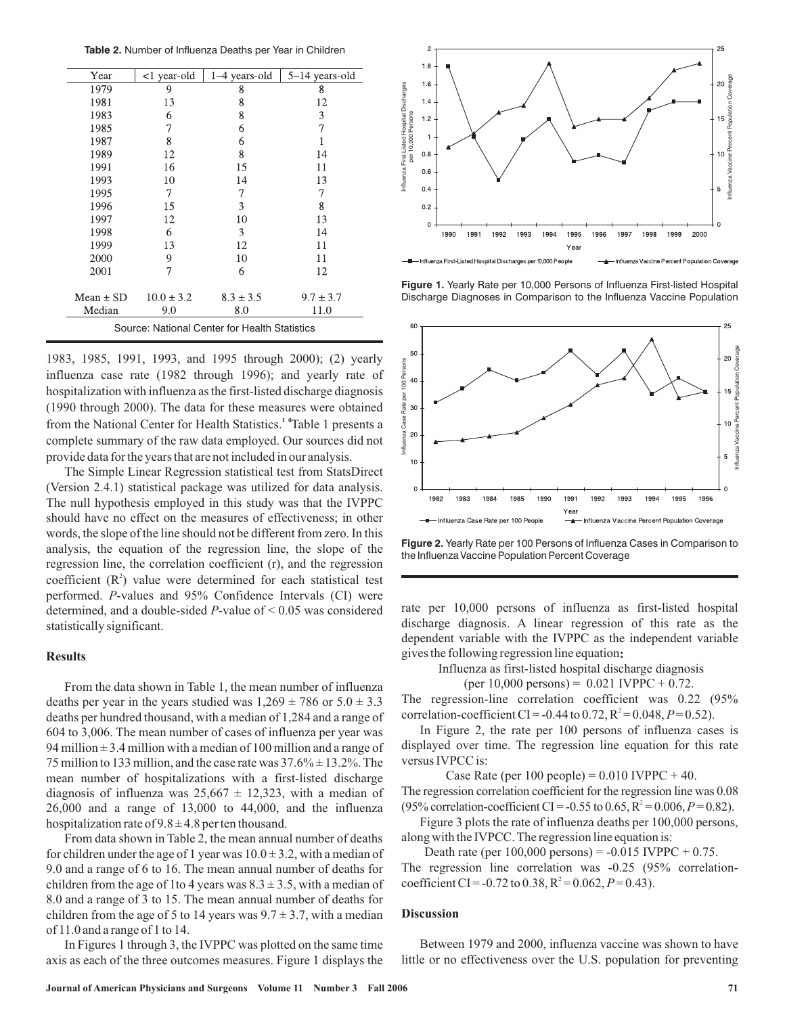**Table 2.** Number of Influenza Deaths per Year in Children

| Year                                          | <1 year-old    | 1–4 years-old | 5-14 years-old |  |  |  |
|-----------------------------------------------|----------------|---------------|----------------|--|--|--|
| 1979                                          | 9              | 8             | 8              |  |  |  |
| 1981                                          | 13             | 8             | 12             |  |  |  |
| 1983                                          | 6              | 8             | 3              |  |  |  |
| 1985                                          | 7              | 6             | 7              |  |  |  |
| 1987                                          | 8              | 6             |                |  |  |  |
| 1989                                          | 12             | 8             | 14             |  |  |  |
| 1991                                          | 16             | 15            | 11             |  |  |  |
| 1993                                          | 10             | 14            | 13             |  |  |  |
| 1995                                          | 7              | 7             | 7              |  |  |  |
| 1996                                          | 15             | 3             | 8              |  |  |  |
| 1997                                          | 12             | 10            | 13             |  |  |  |
| 1998                                          | 6              | 3             | 14             |  |  |  |
| 1999                                          | 13             | 12            | 11             |  |  |  |
| 2000                                          | 9              | 10            | 11             |  |  |  |
| 2001                                          | 7              | 6             | 12             |  |  |  |
| Mean $\pm$ SD                                 | $10.0 \pm 3.2$ | $8.3 \pm 3.5$ | $9.7 \pm 3.7$  |  |  |  |
| Median                                        | 9.0            | 8.0           | 11.0           |  |  |  |
| Source: National Center for Health Statistics |                |               |                |  |  |  |

1983, 1985, 1991, 1993, and 1995 through 2000); (2) yearly influenza case rate (1982 through 1996); and yearly rate of hospitalization with influenza as the first-listed discharge diagnosis (1990 through 2000). The data for these measures were obtained from the National Center for Health Statistics.<sup>1</sup> "Table 1 presents a complete summary of the raw data employed. Our sources did not provide data for the years that are not included in our analysis.

The Simple Linear Regression statistical test from StatsDirect (Version 2.4.1) statistical package was utilized for data analysis. The null hypothesis employed in this study was that the IVPPC should have no effect on the measures of effectiveness; in other words, the slope of the line should not be different from zero. In this analysis, the equation of the regression line, the slope of the regression line, the correlation coefficient (r), and the regression coefficient  $(R^2)$  value were determined for each statistical test performed. P-values and 95% Confidence Intervals (CI) were determined, and a double-sided  $P$ -value of  $\leq 0.05$  was considered statistically significant.

#### **Results**

From the data shown in Table 1, the mean number of influenza deaths per year in the years studied was  $1,269 \pm 786$  or  $5.0 \pm 3.3$ deaths per hundred thousand, with a median of 1,284 and a range of 604 to 3,006. The mean number of cases of influenza per year was 94 million  $\pm$  3.4 million with a median of 100 million and a range of 75 million to 133 million, and the case rate was  $37.6\% \pm 13.2\%$ . The mean number of hospitalizations with a first-listed discharge diagnosis of influenza was  $25,667 \pm 12,323$ , with a median of  $26,000$  and a range of  $13,000$  to  $44,000$ , and the influenza hospitalization rate of  $9.8 \pm 4.8$  per ten thousand.

From data shown in Table 2, the mean annual number of deaths for children under the age of 1 year was  $10.0 \pm 3.2$ , with a median of 9.0 and a range of 6 to 16. The mean annual number of deaths for children from the age of 1 to 4 years was  $8.3 \pm 3.5$ , with a median of 8.0 and a range of 3 to 15. The mean annual number of deaths for children from the age of 5 to 14 years was  $9.7 \pm 3.7$ , with a median of 11.0 and a range of 1 to 14.

In Figures 1 through 3, the IVPPC was plotted on the same time axis as each of the three outcomes measures. Figure 1 displays the



**Figure 1.** Yearly Rate per 10,000 Persons of Influenza First-listed Hospital



**Figure 2.** Yearly Rate per 100 Persons of Influenza Cases in Comparison to the Influenza Vaccine Population Percent Coverage

rate per 10,000 persons of influenza as first-listed hospital discharge diagnosis. A linear regression of this rate as the dependent variable with the IVPPC as the independent variable gives the following regression line equation **:**

Influenza as first-listed hospital discharge diagnosis

$$
(per\ 10,000 \text{ persons}) = 0.021 \text{ IVPPC} + 0.72.
$$

The regression-line correlation coefficient was 0.22 (95% correlation-coefficient CI = -0.44 to 0.72,  $R^2 = 0.048$ ,  $P = 0.52$ ).

In Figure 2, the rate per 100 persons of influenza cases is displayed over time. The regression line equation for this rate versus IVPCC is:

Case Rate (per  $100$  people) =  $0.010$  IVPPC + 40. The regression correlation coefficient for the regression line was 0.08 (95% correlation-coefficient CI = -0.55 to 0.65,  $R^2 = 0.006$ ,  $P = 0.82$ ).

Figure 3 plots the rate of influenza deaths per 100,000 persons, along with the IVPCC. The regression line equation is:

Death rate (per  $100,000$  persons) =  $-0.015$  IVPPC + 0.75. The regression line correlation was -0.25 (95% correlationcoefficient CI = -0.72 to 0.38,  $R^2$  = 0.062,  $P$  = 0.43).

#### **Discussion**

Between 1979 and 2000, influenza vaccine was shown to have little or no effectiveness over the U.S. population for preventing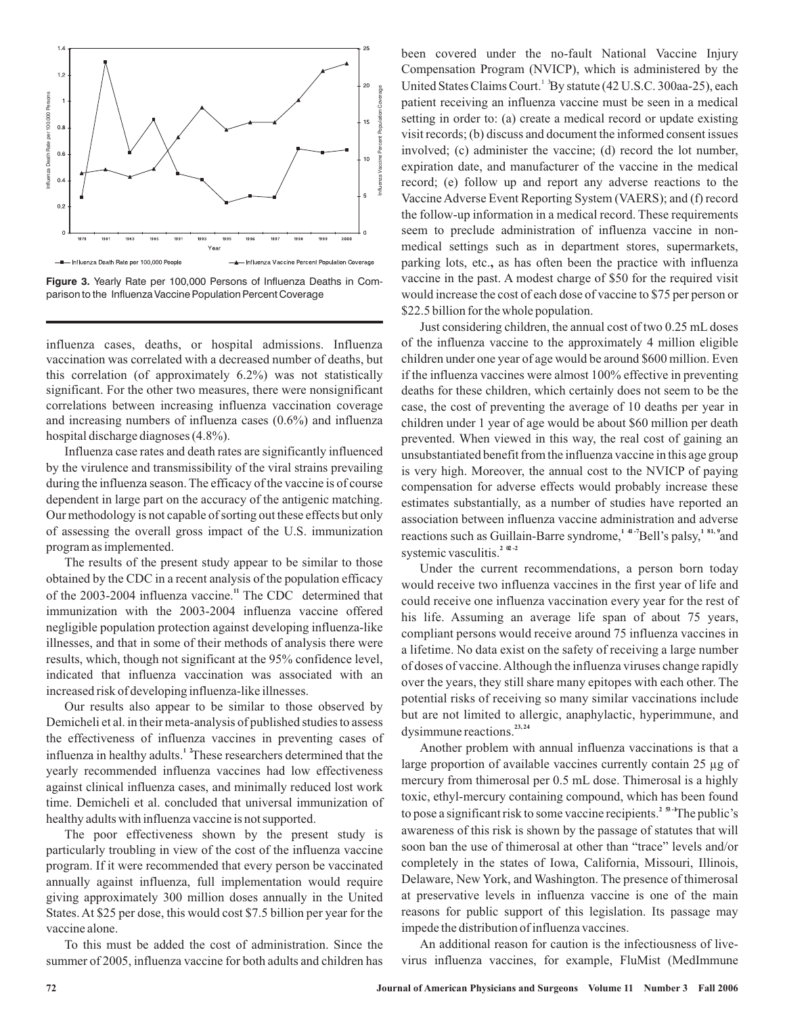

Figure 3. Yearly Rate per 100,000 Persons of Influenza Deaths in Comparison to the Influenza Vaccine Population Percent Coverage

influenza cases, deaths, or hospital admissions. Influenza vaccination was correlated with a decreased number of deaths, but this correlation (of approximately 6.2%) was not statistically significant. For the other two measures, there were nonsignificant correlations between increasing influenza vaccination coverage and increasing numbers of influenza cases (0.6%) and influenza hospital discharge diagnoses (4.8%).

Influenza case rates and death rates are significantly influenced by the virulence and transmissibility of the viral strains prevailing during the influenza season. The efficacy of the vaccine is of course dependent in large part on the accuracy of the antigenic matching. Our methodology is not capable of sorting out these effects but only of assessing the overall gross impact of the U.S. immunization program as implemented.

The results of the present study appear to be similar to those obtained by the CDC in a recent analysis of the population efficacy of the 2003-2004 influenza vaccine.<sup>11</sup> The CDC determined that immunization with the 2003-2004 influenza vaccine offered negligible population protection against developing influenza-like illnesses, and that in some of their methods of analysis there were results, which, though not significant at the 95% confidence level, indicated that influenza vaccination was associated with an increased risk of developing influenza-like illnesses.

Our results also appear to be similar to those observed by Demicheli et al. in their meta-analysis of published studies to assess the effectiveness of influenza vaccines in preventing cases of influenza in healthy adults.<sup>1</sup> These researchers determined that the yearly recommended influenza vaccines had low effectiveness against clinical influenza cases, and minimally reduced lost work time. Demicheli et al. concluded that universal immunization of healthy adults with influenza vaccine is not supported.

The poor effectiveness shown by the present study is particularly troubling in view of the cost of the influenza vaccine program. If it were recommended that every person be vaccinated annually against influenza, full implementation would require giving approximately 300 million doses annually in the United States. At \$25 per dose, this would cost \$7.5 billion per year for the vaccine alone.

To this must be added the cost of administration. Since the summer of 2005, influenza vaccine for both adults and children has been covered under the no-fault National Vaccine Injury Compensation Program (NVICP), which is administered by the United States Claims Court.<sup>13</sup>By statute (42 U.S.C. 300aa-25), each patient receiving an influenza vaccine must be seen in a medical setting in order to: (a) create a medical record or update existing visit records; (b) discuss and document the informed consent issues involved; (c) administer the vaccine; (d) record the lot number, expiration date, and manufacturer of the vaccine in the medical record; (e) follow up and report any adverse reactions to the Vaccine Adverse Event Reporting System (VAERS); and (f) record the follow-up information in a medical record. These requirements seem to preclude administration of influenza vaccine in nonmedical settings such as in department stores, supermarkets, parking lots, etc., as has often been the practice with influenza vaccine in the past. A modest charge of \$50 for the required visit would increase the cost of each dose of vaccine to \$75 per person or \$22.5 billion for the whole population.

Just considering children, the annual cost of two 0.25 mL doses of the influenza vaccine to the approximately 4 million eligible children under one year of age would be around \$600 million. Even if the influenza vaccines were almost 100% effective in preventing deaths for these children, which certainly does not seem to be the case, the cost of preventing the average of 10 deaths per year in children under 1 year of age would be about \$60 million per death prevented. When viewed in this way, the real cost of gaining an unsubstantiated benefit from the influenza vaccine in this age group is very high. Moreover, the annual cost to the NVICP of paying compensation for adverse effects would probably increase these estimates substantially, as a number of studies have reported an association between influenza vaccine administration and adverse reactions such as Guillain-Barre syndrome,<sup>14-7</sup>Bell's palsy,<sup>151,9</sup>and systemic vasculitis.<sup>2  $\infty$ -2</sup>

Under the current recommendations, a person born today would receive two influenza vaccines in the first year of life and could receive one influenza vaccination every year for the rest of his life. Assuming an average life span of about 75 years, compliant persons would receive around 75 influenza vaccines in a lifetime. No data exist on the safety of receiving a large number of doses of vaccine.Although the influenza viruses change rapidly over the years, they still share many epitopes with each other. The potential risks of receiving so many similar vaccinations include but are not limited to allergic, anaphylactic, hyperimmune, and dysimmune reactions. **23, 24**

Another problem with annual influenza vaccinations is that a large proportion of available vaccines currently contain 25 µg of mercury from thimerosal per 0.5 mL dose. Thimerosal is a highly toxic, ethyl-mercury containing compound, which has been found to pose a significant risk to some vaccine recipients.<sup>2</sup> <sup>5</sup> <sup>1</sup>The public's awareness of this risk is shown by the passage of statutes that will soon ban the use of thimerosal at other than "trace" levels and/or completely in the states of Iowa, California, Missouri, Illinois, Delaware, New York, and Washington. The presence of thimerosal at preservative levels in influenza vaccine is one of the main reasons for public support of this legislation. Its passage may impede the distribution of influenza vaccines.

An additional reason for caution is the infectiousness of livevirus influenza vaccines, for example, FluMist (MedImmune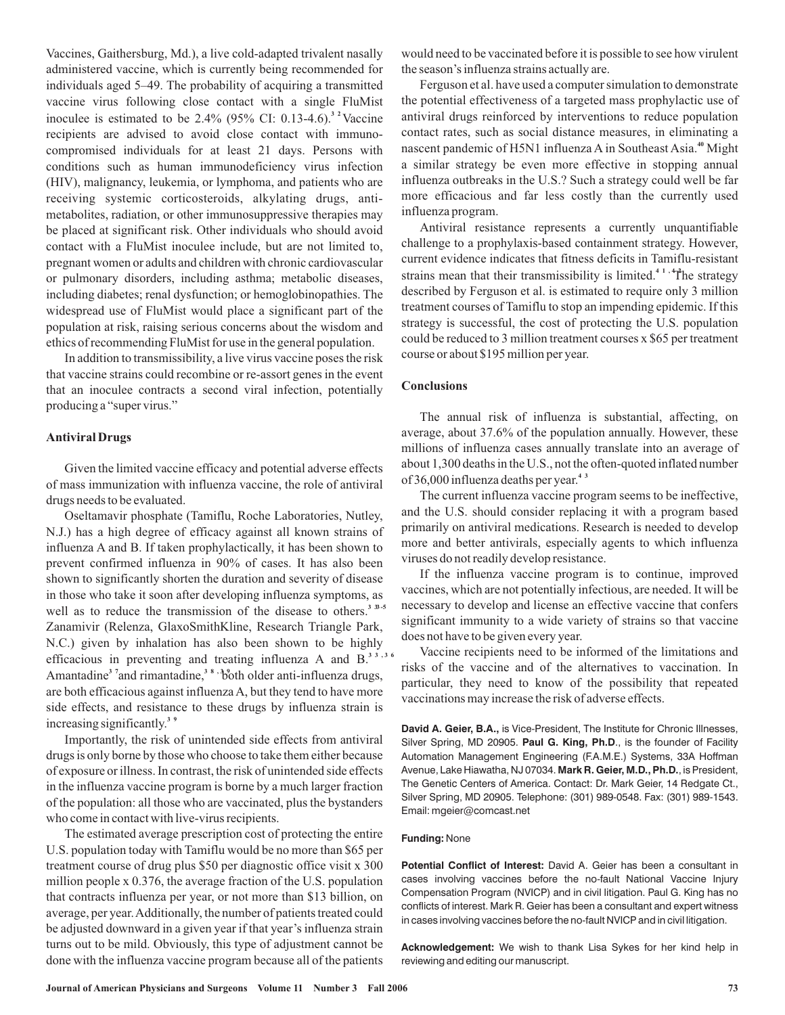Vaccines, Gaithersburg, Md.), a live cold-adapted trivalent nasally administered vaccine, which is currently being recommended for individuals aged 5–49. The probability of acquiring a transmitted vaccine virus following close contact with a single FluMist inoculee is estimated to be  $2.4\%$  (95% CI: 0.13-4.6).<sup>3</sup> <sup>2</sup> Vaccine recipients are advised to avoid close contact with immunocompromised individuals for at least 21 days. Persons with conditions such as human immunodeficiency virus infection (HIV), malignancy, leukemia, or lymphoma, and patients who are receiving systemic corticosteroids, alkylating drugs, antimetabolites, radiation, or other immunosuppressive therapies may be placed at significant risk. Other individuals who should avoid contact with a FluMist inoculee include, but are not limited to, pregnant women or adults and children with chronic cardiovascular or pulmonary disorders, including asthma; metabolic diseases, including diabetes; renal dysfunction; or hemoglobinopathies. The widespread use of FluMist would place a significant part of the population at risk, raising serious concerns about the wisdom and ethics of recommending FluMist for use in the general population.

In addition to transmissibility, a live virus vaccine poses the risk that vaccine strains could recombine or re-assort genes in the event that an inoculee contracts a second viral infection, potentially producing a "super virus."

#### **Antiviral Drugs**

Given the limited vaccine efficacy and potential adverse effects of mass immunization with influenza vaccine, the role of antiviral drugs needs to be evaluated.

Oseltamavir phosphate (Tamiflu, Roche Laboratories, Nutley, N.J.) has a high degree of efficacy against all known strains of influenza A and B. If taken prophylactically, it has been shown to prevent confirmed influenza in 90% of cases. It has also been shown to significantly shorten the duration and severity of disease in those who take it soon after developing influenza symptoms, as well as to reduce the transmission of the disease to others.<sup>33-5</sup> Zanamivir (Relenza, GlaxoSmithKline, Research Triangle Park, N.C.) given by inhalation has also been shown to be highly efficacious in preventing and treating influenza A and B. **3 3 ,3 6** Amantadine<sup>3</sup> <sup>7</sup> and rimantadine,<sup>38</sup> ,<sup>3</sup> both older anti-influenza drugs, are both efficacious against influenza A, but they tend to have more side effects, and resistance to these drugs by influenza strain is increasing significantly. **3 9**

Importantly, the risk of unintended side effects from antiviral drugs is only borne by those who choose to take them either because of exposure or illness. In contrast, the risk of unintended side effects in the influenza vaccine program is borne by a much larger fraction of the population: all those who are vaccinated, plus the bystanders who come in contact with live-virus recipients.

The estimated average prescription cost of protecting the entire U.S. population today with Tamiflu would be no more than \$65 per treatment course of drug plus \$50 per diagnostic office visit x 300 million people x 0.376, the average fraction of the U.S. population that contracts influenza per year, or not more than \$13 billion, on average, per year.Additionally, the number of patients treated could be adjusted downward in a given year if that year's influenza strain turns out to be mild. Obviously, this type of adjustment cannot be done with the influenza vaccine program because all of the patients would need to be vaccinated before it is possible to see how virulent the season's influenza strains actually are.

Ferguson et al. have used a computer simulation to demonstrate the potential effectiveness of a targeted mass prophylactic use of antiviral drugs reinforced by interventions to reduce population contact rates, such as social distance measures, in eliminating a nascent pandemic of H5N1 influenza A in Southeast Asia.<sup>40</sup> Might a similar strategy be even more effective in stopping annual influenza outbreaks in the U.S.? Such a strategy could well be far more efficacious and far less costly than the currently used influenza program.

Antiviral resistance represents a currently unquantifiable challenge to a prophylaxis-based containment strategy. However, current evidence indicates that fitness deficits in Tamiflu-resistant strains mean that their transmissibility is limited.<sup>41,4</sup> The strategy described by Ferguson et al. is estimated to require only 3 million treatment courses of Tamiflu to stop an impending epidemic. If this strategy is successful, the cost of protecting the U.S. population could be reduced to 3 million treatment courses x \$65 per treatment course or about \$195 million per year.

### **Conclusions**

The annual risk of influenza is substantial, affecting, on average, about 37.6% of the population annually. However, these millions of influenza cases annually translate into an average of about 1,300 deaths in the U.S., not the often-quoted inflated number of 36,000 influenza deaths per year. **4 3**

The current influenza vaccine program seems to be ineffective, and the U.S. should consider replacing it with a program based primarily on antiviral medications. Research is needed to develop more and better antivirals, especially agents to which influenza viruses do not readily develop resistance.

If the influenza vaccine program is to continue, improved vaccines, which are not potentially infectious, are needed. It will be necessary to develop and license an effective vaccine that confers significant immunity to a wide variety of strains so that vaccine does not have to be given every year.

Vaccine recipients need to be informed of the limitations and risks of the vaccine and of the alternatives to vaccination. In particular, they need to know of the possibility that repeated vaccinations may increase the risk of adverse effects.

**David A. Geier, B.A.,** is Vice-President, The Institute for Chronic Illnesses, Silver Spring, MD 20905. Paul G. King, Ph.D., is the founder of Facility Avenue, Lake Hiawatha, NJ 07034. **Mark R. Geier, M.D., Ph.D.**, is President, Automation Management Engineering (F.A.M.E.) Systems, 33A Hoffman The Genetic Centers of America. Contact: Dr. Mark Geier, 14 Redgate Ct., Silver Spring, MD 20905. Telephone: (301) 989-0548. Fax: (301) 989-1543. Email: mgeier@comcast.net

#### **Funding:** None

**Potential Conflict of Interest:** David A. Geier has been a consultant in cases involving vaccines before the no-fault National Vaccine Injury Compensation Program (NVICP) and in civil litigation. Paul G. King has no conflicts of interest. Mark R. Geier has been a consultant and expert witness in cases involving vaccines before the no-fault NVICP and in civil litigation.

**Acknowledgement:** We wish to thank Lisa Sykes for her kind help in reviewing and editing our manuscript.